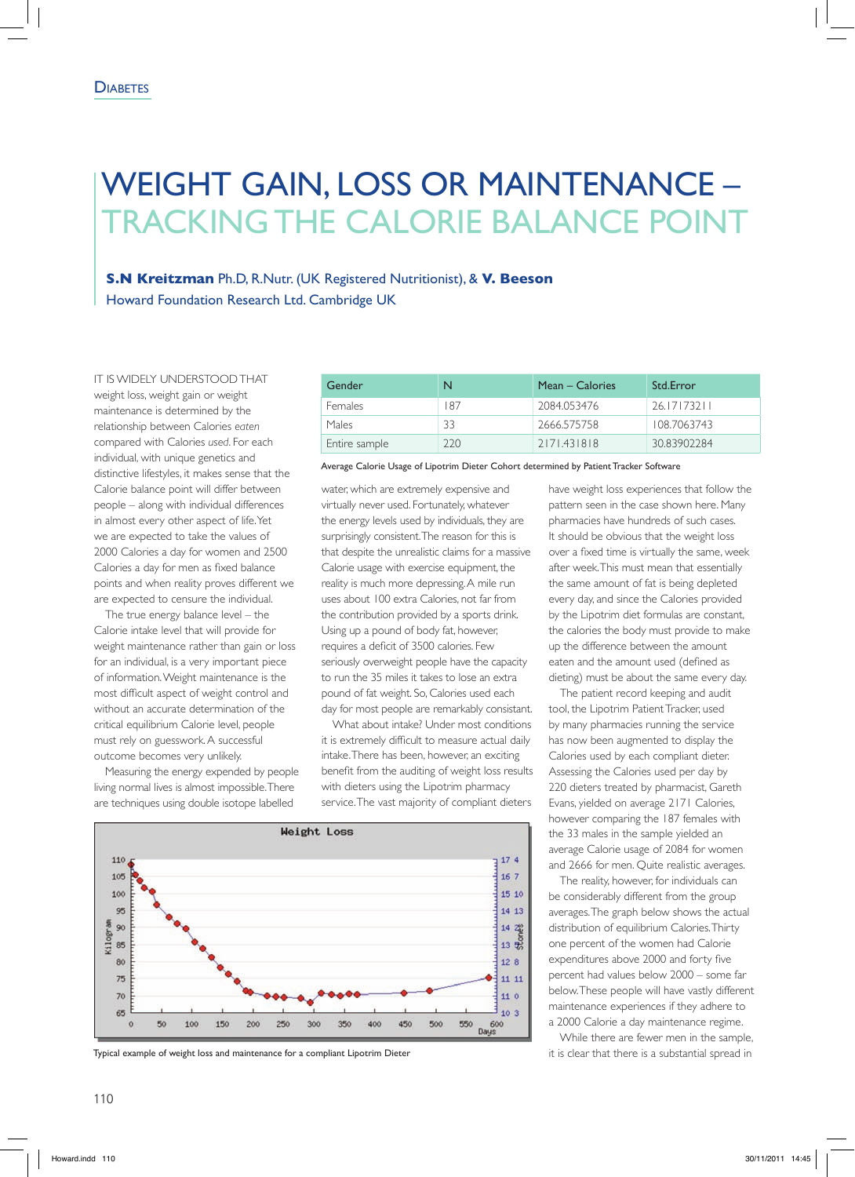## Weight Gain, Loss or Maintenance – Tracking the Calorie Balance Point

**S.N Kreitzman** Ph.D, R.Nutr. (UK Registered Nutritionist), & **V. Beeson** Howard Foundation Research Ltd. Cambridge UK

It is widely understood that weight loss, weight gain or weight maintenance is determined by the relationship between Calories *eaten* compared with Calories *used*. For each individual, with unique genetics and distinctive lifestyles, it makes sense that the Calorie balance point will differ between people – along with individual differences in almost every other aspect of life. Yet we are expected to take the values of 2000 Calories a day for women and 2500 Calories a day for men as fixed balance points and when reality proves different we are expected to censure the individual.

The true energy balance level – the Calorie intake level that will provide for weight maintenance rather than gain or loss for an individual, is a very important piece of information. Weight maintenance is the most difficult aspect of weight control and without an accurate determination of the critical equilibrium Calorie level, people must rely on guesswork. A successful outcome becomes very unlikely.

Measuring the energy expended by people living normal lives is almost impossible. There are techniques using double isotope labelled

| Gender        |     | Mean – Calories | Std.Error   |
|---------------|-----|-----------------|-------------|
| Females       | 187 | 2084.053476     | 26.17173211 |
| Males         | 33  | 2666.575758     | 108.7063743 |
| Entire sample | 220 | 2171.431818     | 3083902284  |

Average Calorie Usage of Lipotrim Dieter Cohort determined by Patient Tracker Software

water, which are extremely expensive and virtually never used. Fortunately, whatever the energy levels used by individuals, they are surprisingly consistent. The reason for this is that despite the unrealistic claims for a massive Calorie usage with exercise equipment, the reality is much more depressing. A mile run uses about 100 extra Calories, not far from the contribution provided by a sports drink. Using up a pound of body fat, however, requires a deficit of 3500 calories. Few seriously overweight people have the capacity to run the 35 miles it takes to lose an extra pound of fat weight. So, Calories used each day for most people are remarkably consistant.

What about intake? Under most conditions it is extremely difficult to measure actual daily intake. There has been, however, an exciting benefit from the auditing of weight loss results with dieters using the Lipotrim pharmacy service. The vast majority of compliant dieters



Typical example of weight loss and maintenance for a compliant Lipotrim Dieter it is in the state of that there is a substantial spread in

have weight loss experiences that follow the pattern seen in the case shown here. Many pharmacies have hundreds of such cases. It should be obvious that the weight loss over a fixed time is virtually the same, week after week. This must mean that essentially the same amount of fat is being depleted every day, and since the Calories provided by the Lipotrim diet formulas are constant, the calories the body must provide to make up the difference between the amount eaten and the amount used (defined as dieting) must be about the same every day.

The patient record keeping and audit tool, the Lipotrim Patient Tracker, used by many pharmacies running the service has now been augmented to display the Calories used by each compliant dieter. Assessing the Calories used per day by 220 dieters treated by pharmacist, Gareth Evans, yielded on average 2171 Calories, however comparing the 187 females with the 33 males in the sample yielded an average Calorie usage of 2084 for women and 2666 for men. Quite realistic averages.

The reality, however, for individuals can be considerably different from the group averages. The graph below shows the actual distribution of equilibrium Calories. Thirty one percent of the women had Calorie expenditures above 2000 and forty five percent had values below 2000 – some far below. These people will have vastly different maintenance experiences if they adhere to a 2000 Calorie a day maintenance regime.

While there are fewer men in the sample,